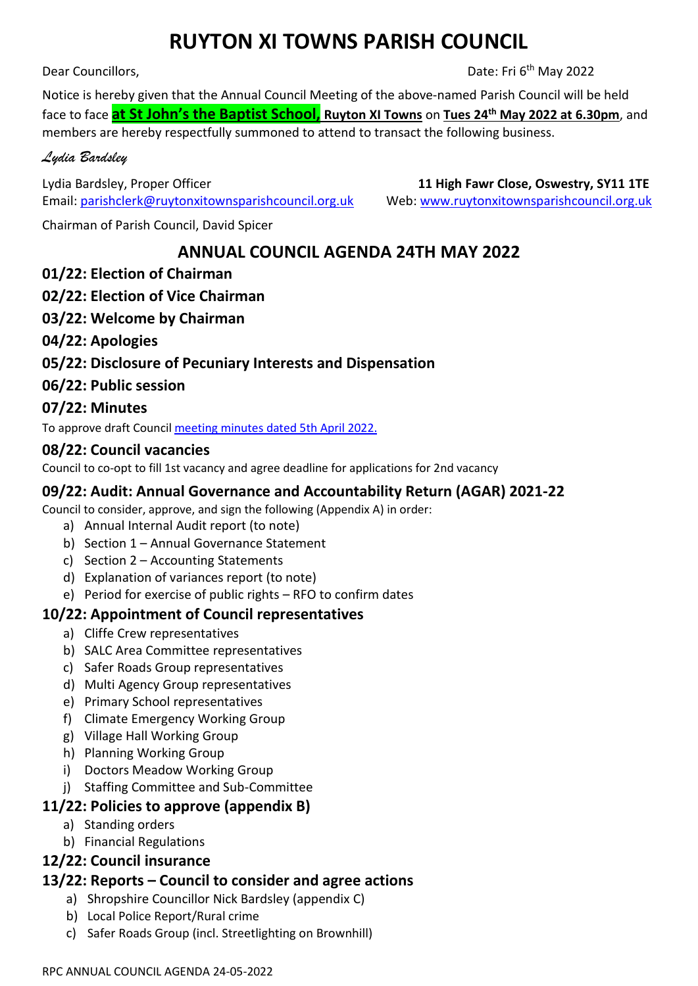# **RUYTON XI TOWNS PARISH COUNCIL**

Dear Councillors,

Date: Fri 6<sup>th</sup> May 2022

Notice is hereby given that the Annual Council Meeting of the above-named Parish Council will be held face to face **at St John's the Baptist School, Ruyton XI Towns** on **Tues 24th May 2022 at 6.30pm**, and members are hereby respectfully summoned to attend to transact the following business.

## *Lydia Bardsley*

Lydia Bardsley, Proper Officer **11 High Fawr Close, Oswestry, SY11 1TE**  Email[: parishclerk@ruytonxitownsparishcouncil.org.uk](mailto:parishclerk@ruytonxitownsparishcouncil.org.uk) Web: [www.ruytonxitownsparishcouncil.org.uk](http://www.ruytonxitownsparishcouncil.org.uk/)

Chairman of Parish Council, David Spicer

## **ANNUAL COUNCIL AGENDA 24TH MAY 2022**

## **01/22: Election of Chairman**

## **02/22: Election of Vice Chairman**

**03/22: Welcome by Chairman**

## **04/22: Apologies**

## **05/22: Disclosure of Pecuniary Interests and Dispensation**

## **06/22: Public session**

## **07/22: Minutes**

To approve draft Council [meeting minutes dated](http://www.ruytonxitownsparishcouncil.org.uk/wp-content/uploads/2022/05/April-2022-minutes.pdf) 5th April 2022.

#### **08/22: Council vacancies**

Council to co-opt to fill 1st vacancy and agree deadline for applications for 2nd vacancy

## **09/22: Audit: Annual Governance and Accountability Return (AGAR) 2021-22**

Council to consider, approve, and sign the following (Appendix A) in order:

- a) Annual Internal Audit report (to note)
- b) Section 1 Annual Governance Statement
- c) Section 2 Accounting Statements
- d) Explanation of variances report (to note)
- e) Period for exercise of public rights RFO to confirm dates

## **10/22: Appointment of Council representatives**

- a) Cliffe Crew representatives
- b) SALC Area Committee representatives
- c) Safer Roads Group representatives
- d) Multi Agency Group representatives
- e) Primary School representatives
- f) Climate Emergency Working Group
- g) Village Hall Working Group
- h) Planning Working Group
- i) Doctors Meadow Working Group
- j) Staffing Committee and Sub-Committee

## **11/22: Policies to approve (appendix B)**

- a) Standing orders
- b) Financial Regulations

#### **12/22: Council insurance**

#### **13/22: Reports – Council to consider and agree actions**

- a) Shropshire Councillor Nick Bardsley (appendix C)
- b) Local Police Report/Rural crime
- c) Safer Roads Group (incl. Streetlighting on Brownhill)